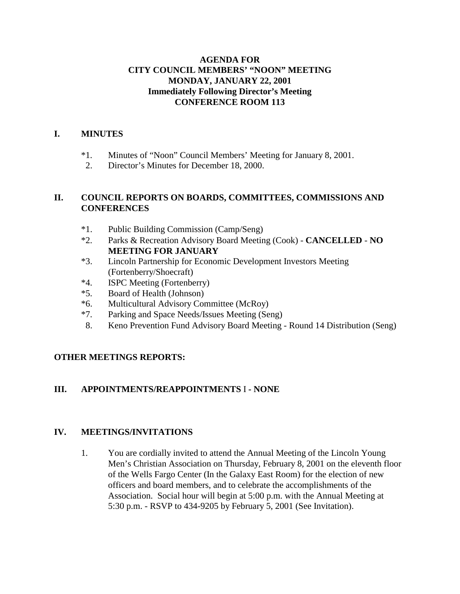## **AGENDA FOR CITY COUNCIL MEMBERS' "NOON" MEETING MONDAY, JANUARY 22, 2001 Immediately Following Director's Meeting CONFERENCE ROOM 113**

## **I. MINUTES**

- \*1. Minutes of "Noon" Council Members' Meeting for January 8, 2001.
- 2. Director's Minutes for December 18, 2000.

## **II. COUNCIL REPORTS ON BOARDS, COMMITTEES, COMMISSIONS AND CONFERENCES**

- \*1. Public Building Commission (Camp/Seng)
- \*2. Parks & Recreation Advisory Board Meeting (Cook) **CANCELLED NO MEETING FOR JANUARY**
- \*3. Lincoln Partnership for Economic Development Investors Meeting (Fortenberry/Shoecraft)
- \*4. ISPC Meeting (Fortenberry)
- \*5. Board of Health (Johnson)
- \*6. Multicultural Advisory Committee (McRoy)
- \*7. Parking and Space Needs/Issues Meeting (Seng)
- 8. Keno Prevention Fund Advisory Board Meeting Round 14 Distribution (Seng)

## **OTHER MEETINGS REPORTS:**

## **III. APPOINTMENTS/REAPPOINTMENTS** I **- NONE**

## **IV. MEETINGS/INVITATIONS**

1. You are cordially invited to attend the Annual Meeting of the Lincoln Young Men's Christian Association on Thursday, February 8, 2001 on the eleventh floor of the Wells Fargo Center (In the Galaxy East Room) for the election of new officers and board members, and to celebrate the accomplishments of the Association. Social hour will begin at 5:00 p.m. with the Annual Meeting at 5:30 p.m. - RSVP to 434-9205 by February 5, 2001 (See Invitation).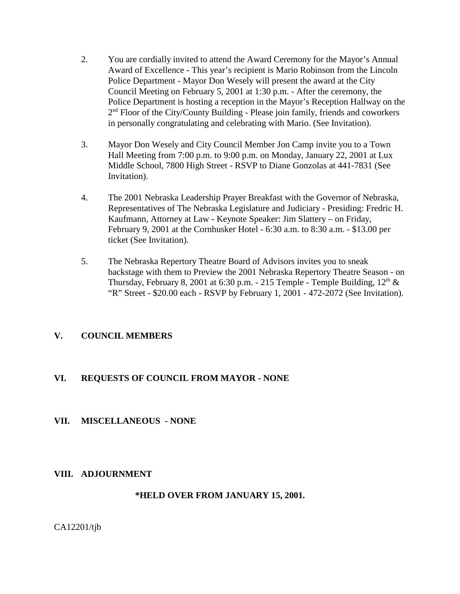- 2. You are cordially invited to attend the Award Ceremony for the Mayor's Annual Award of Excellence - This year's recipient is Mario Robinson from the Lincoln Police Department - Mayor Don Wesely will present the award at the City Council Meeting on February 5, 2001 at 1:30 p.m. - After the ceremony, the Police Department is hosting a reception in the Mayor's Reception Hallway on the  $2<sup>nd</sup>$  Floor of the City/County Building - Please join family, friends and coworkers in personally congratulating and celebrating with Mario. (See Invitation).
- 3. Mayor Don Wesely and City Council Member Jon Camp invite you to a Town Hall Meeting from 7:00 p.m. to 9:00 p.m. on Monday, January 22, 2001 at Lux Middle School, 7800 High Street - RSVP to Diane Gonzolas at 441-7831 (See Invitation).
- 4. The 2001 Nebraska Leadership Prayer Breakfast with the Governor of Nebraska, Representatives of The Nebraska Legislature and Judiciary - Presiding: Fredric H. Kaufmann, Attorney at Law - Keynote Speaker: Jim Slattery – on Friday, February 9, 2001 at the Cornhusker Hotel - 6:30 a.m. to 8:30 a.m. - \$13.00 per ticket (See Invitation).
- 5. The Nebraska Repertory Theatre Board of Advisors invites you to sneak backstage with them to Preview the 2001 Nebraska Repertory Theatre Season - on Thursday, February 8, 2001 at 6:30 p.m. - 215 Temple - Temple Building,  $12<sup>th</sup>$  & "R" Street - \$20.00 each - RSVP by February 1, 2001 - 472-2072 (See Invitation).

## **V. COUNCIL MEMBERS**

## **VI. REQUESTS OF COUNCIL FROM MAYOR - NONE**

## **VII. MISCELLANEOUS - NONE**

#### **VIII. ADJOURNMENT**

#### **\*HELD OVER FROM JANUARY 15, 2001.**

CA12201/tjb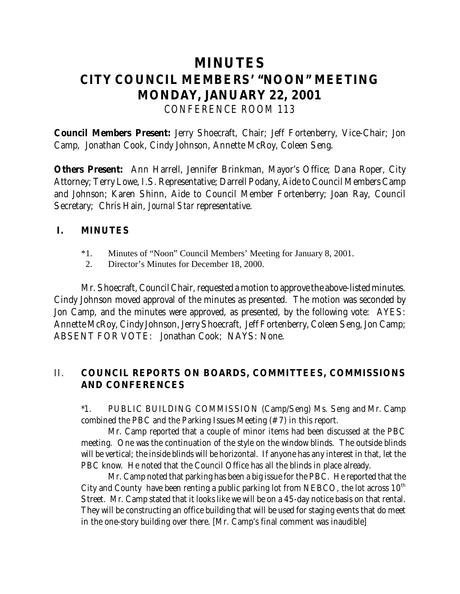# **MINUTES CITY COUNCIL MEMBERS' "NOON" MEETING MONDAY, JANUARY 22, 2001** *CONFERENCE ROOM 113*

**Council Members Present:** Jerry Shoecraft, Chair; Jeff Fortenberry, Vice-Chair; Jon Camp, Jonathan Cook, Cindy Johnson, Annette McRoy, Coleen Seng.

**Others Present:** Ann Harrell, Jennifer Brinkman, Mayor's Office; Dana Roper, City Attorney; Terry Lowe, I.S. Representative; Darrell Podany, Aide to Council Members Camp and Johnson; Karen Shinn, Aide to Council Member Fortenberry; Joan Ray, Council Secretary; Chris Hain, *Journal Star* representative.

## **I. MINUTES**

- \*1. Minutes of "Noon" Council Members' Meeting for January 8, 2001.
- 2. Director's Minutes for December 18, 2000.

Mr. Shoecraft, Council Chair, requested a motion to approve the above-listed minutes. Cindy Johnson moved approval of the minutes as presented. The motion was seconded by Jon Camp, and the minutes were approved, as presented, by the following vote: AYES: Annette McRoy, Cindy Johnson, Jerry Shoecraft, Jeff Fortenberry, Coleen Seng, Jon Camp; ABSENT FOR VOTE: Jonathan Cook; NAYS: None.

## II. **COUNCIL REPORTS ON BOARDS, COMMITTEES, COMMISSIONS AND CONFERENCES**

\*1. PUBLIC BUILDING COMMISSION (Camp/Seng) Ms. Seng and Mr. Camp combined the PBC and the Parking Issues Meeting (#7) in this report.

Mr. Camp reported that a couple of minor items had been discussed at the PBC meeting. One was the continuation of the style on the window blinds. The outside blinds will be vertical; the inside blinds will be horizontal. If anyone has any interest in that, let the PBC know. He noted that the Council Office has all the blinds in place already.

Mr. Camp noted that parking has been a big issue for the PBC. He reported that the City and County have been renting a public parking lot from NEBCO, the lot across  $10^{th}$ Street. Mr. Camp stated that it looks like we will be on a 45-day notice basis on that rental. They will be constructing an office building that will be used for staging events that do meet in the one-story building over there. [Mr. Camp's final comment was inaudible]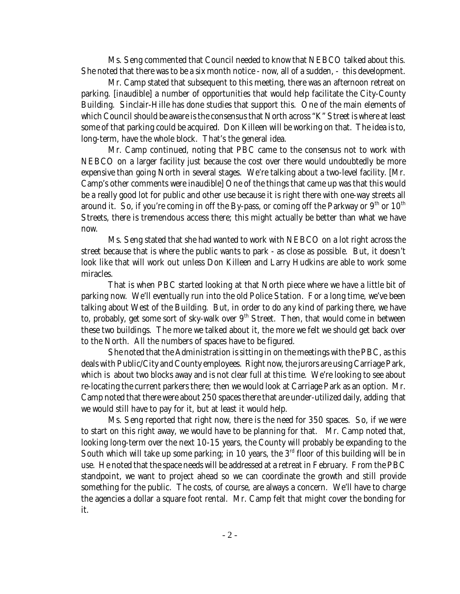Ms. Seng commented that Council needed to know that NEBCO talked about this. She noted that there was to be a six month notice - now, all of a sudden, - this development.

Mr. Camp stated that subsequent to this meeting, there was an afternoon retreat on parking. [inaudible] a number of opportunities that would help facilitate the City-County Building. Sinclair-Hille has done studies that support this. One of the main elements of which Council should be aware is the consensus that North across "K" Street is where at least some of that parking could be acquired. Don Killeen will be working on that. The idea is to, long-term, have the whole block. That's the general idea.

Mr. Camp continued, noting that PBC came to the consensus not to work with NEBCO on a larger facility just because the cost over there would undoubtedly be more expensive than going North in several stages. We're talking about a two-level facility. [Mr. Camp's other comments were inaudible] One of the things that came up was that this would be a really good lot for public and other use because it is right there with one-way streets all around it. So, if you're coming in off the By-pass, or coming off the Parkway or  $9<sup>th</sup>$  or  $10<sup>th</sup>$ Streets, there is tremendous access there; this might actually be better than what we have now.

Ms. Seng stated that she had wanted to work with NEBCO on a lot right across the street because that is where the public wants to park - as close as possible. But, it doesn't look like that will work out unless Don Killeen and Larry Hudkins are able to work some miracles.

That is when PBC started looking at that North piece where we have a little bit of parking now. We'll eventually run into the old Police Station. For a long time, we've been talking about West of the Building. But, in order to do any kind of parking there, we have to, probably, get some sort of sky-walk over  $9<sup>th</sup>$  Street. Then, that would come in between these two buildings. The more we talked about it, the more we felt we should get back over to the North. All the numbers of spaces have to be figured.

She noted that the Administration is sitting in on the meetings with the PBC, as this deals with Public/City and County employees. Right now, the jurors are using Carriage Park, which is about two blocks away and is not clear full at this time. We're looking to see about re-locating the current parkers there; then we would look at Carriage Park as an option. Mr. Camp noted that there were about 250 spaces there that are under-utilized daily, adding that we would still have to pay for it, but at least it would help.

Ms. Seng reported that right now, there is the need for 350 spaces. So, if we were to start on this right away, we would have to be planning for that. Mr. Camp noted that, looking long-term over the next 10-15 years, the County will probably be expanding to the South which will take up some parking; in 10 years, the  $3<sup>rd</sup>$  floor of this building will be in use. He noted that the space needs will be addressed at a retreat in February. From the PBC standpoint, we want to project ahead so we can coordinate the growth and still provide something for the public. The costs, of course, are always a concern. We'll have to charge the agencies a dollar a square foot rental. Mr. Camp felt that might cover the bonding for it.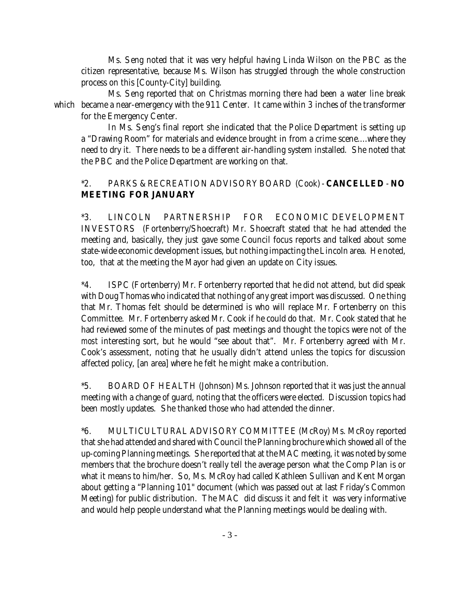Ms. Seng noted that it was very helpful having Linda Wilson on the PBC as the citizen representative, because Ms. Wilson has struggled through the whole construction process on this [County-City] building.

Ms. Seng reported that on Christmas morning there had been a water line break which became a near-emergency with the 911 Center. It came within 3 inches of the transformer for the Emergency Center.

In Ms. Seng's final report she indicated that the Police Department is setting up a "Drawing Room" for materials and evidence brought in from a crime scene....where they need to dry it. There needs to be a different air-handling system installed. She noted that the PBC and the Police Department are working on that.

# \*2. PARKS & RECREATION ADVISORY BOARD (Cook) - **CANCELLED** - **NO MEETING FOR JANUARY**

\*3. LINCOLN PARTNERSHIP FOR ECONOMIC DEVELOPMENT INVESTORS (Fortenberry/Shoecraft) Mr. Shoecraft stated that he had attended the meeting and, basically, they just gave some Council focus reports and talked about some state-wide economic development issues, but nothing impacting the Lincoln area. He noted, too, that at the meeting the Mayor had given an update on City issues.

\*4. ISPC (Fortenberry) Mr. Fortenberry reported that he did not attend, but did speak with Doug Thomas who indicated that nothing of any great import was discussed. One thing that Mr. Thomas felt should be determined is who will replace Mr. Fortenberry on this Committee. Mr. Fortenberry asked Mr. Cook if he could do that. Mr. Cook stated that he had reviewed some of the minutes of past meetings and thought the topics were not of the *most* interesting sort, but he would "see about that". Mr. Fortenberry agreed with Mr. Cook's assessment, noting that he usually didn't attend unless the topics for discussion affected policy, [an area] where he felt he might make a contribution.

\*5. BOARD OF HEALTH (Johnson) Ms. Johnson reported that it was just the annual meeting with a change of guard, noting that the officers were elected. Discussion topics had been mostly updates. She thanked those who had attended the dinner.

\*6. MULTICULTURAL ADVISORY COMMITTEE (McRoy) Ms. McRoy reported that she had attended and shared with Council the Planning brochure which showed all of the up-coming Planning meetings. She reported that at the MAC meeting, it was noted by some members that the brochure doesn't really tell the average person what the Comp Plan is or what it means to him/her. So, Ms. McRoy had called Kathleen Sullivan and Kent Morgan about getting a "Planning 101" document (which was passed out at last Friday's Common Meeting) for public distribution. The MAC did discuss it and felt it was very informative and would help people understand what the Planning meetings would be dealing with.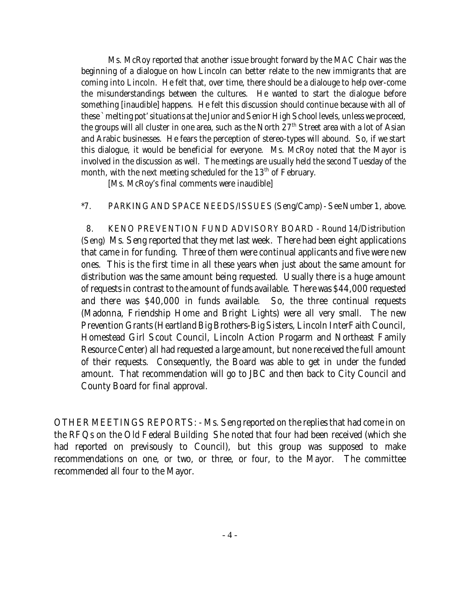Ms. McRoy reported that another issue brought forward by the MAC Chair was the beginning of a dialogue on how Lincoln can better relate to the new immigrants that are coming into Lincoln. He felt that, over time, there should be a dialouge to help over-come the misunderstandings between the cultures. He wanted to start the dialogue before something [inaudible] happens. He felt this discussion should continue because with all of these `melting pot' situations at the Junior and Senior High School levels, unless we proceed, the groups will all cluster in one area, such as the North 27<sup>th</sup> Street area with a lot of Asian and Arabic businesses. He fears the perception of stereo-types will abound. So, if we start this dialogue, it would be beneficial for everyone. Ms. McRoy noted that the Mayor is involved in the discussion as well. The meetings are usually held the second Tuesday of the month, with the next meeting scheduled for the 13<sup>th</sup> of February.

[Ms. McRoy's final comments were inaudible]

\*7. PARKING AND SPACE NEEDS/ISSUES (Seng/Camp) - See Number 1, above.

8. KENO PREVENTION FUND ADVISORY BOARD - Round 14/Distribution (Seng) Ms. Seng reported that they met last week. There had been eight applications that came in for funding. Three of them were continual applicants and five were new ones. This is the first time in all these years when just about the same amount for distribution was the same amount being requested. Usually there is a huge amount of requests in contrast to the amount of funds available. There was \$44,000 requested and there was \$40,000 in funds available. So, the three continual requests (Madonna, Friendship Home and Bright Lights) were all very small. The new Prevention Grants (Heartland Big Brothers-Big Sisters, Lincoln InterFaith Council, Homestead Girl Scout Council, Lincoln Action Progarm and Northeast Family Resource Center) all had requested a large amount, but none received the full amount of their requests. Consequently, the Board was able to get in under the funded amount. That recommendation will go to JBC and then back to City Council and County Board for final approval.

OTHER MEETINGS REPORTS: - Ms. Seng reported on the replies that had come in on the RFQs on the Old Federal Building She noted that four had been received (which she had reported on previsously to Council), but this group was supposed to make recommendations on one, or two, or three, or four, to the Mayor. The committee recommended all four to the Mayor.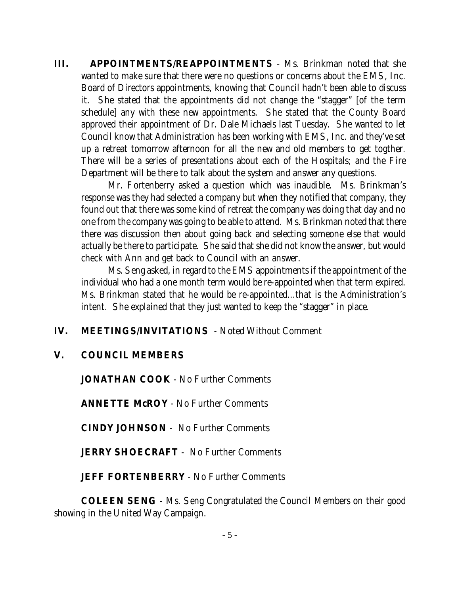**III. APPOINTMENTS/REAPPOINTMENTS** - Ms. Brinkman noted that she wanted to make sure that there were no questions or concerns about the EMS, Inc. Board of Directors appointments, knowing that Council hadn't been able to discuss it. She stated that the appointments did not change the "stagger" [of the term schedule] any with these new appointments. She stated that the County Board approved their appointment of Dr. Dale Michaels last Tuesday. She wanted to let Council know that Administration has been working with EMS, Inc. and they've set up a retreat tomorrow afternoon for all the new and old members to get togther. There will be a series of presentations about each of the Hospitals; and the Fire Department will be there to talk about the system and answer any questions.

Mr. Fortenberry asked a question which was inaudible. Ms. Brinkman's response was they had selected a company but when they notified that company, they found out that there was some kind of retreat the company was doing that day and no one from the company was going to be able to attend. Ms. Brinkman noted that there there was discussion then about going back and selecting someone else that would actually be there to participate. She said that she did not know the answer, but would check with Ann and get back to Council with an answer.

Ms. Seng asked, in regard to the EMS appointments if the appointment of the individual who had a one month term would be re-appointed when that term expired. Ms. Brinkman stated that he would be re-appointed...that is the Administration's intent. She explained that they just wanted to keep the "stagger" in place.

# **IV. MEETINGS/INVITATIONS** - Noted Without Comment

**V. COUNCIL MEMBERS**

**JONATHAN COOK** - No Further Comments

**ANNETTE McROY** - No Further Comments

**CINDY JOHNSON** - No Further Comments

**JERRY SHOECRAFT** - No Further Comments

**JEFF FORTENBERRY** - No Further Comments

**COLEEN SENG** - Ms. Seng Congratulated the Council Members on their good showing in the United Way Campaign.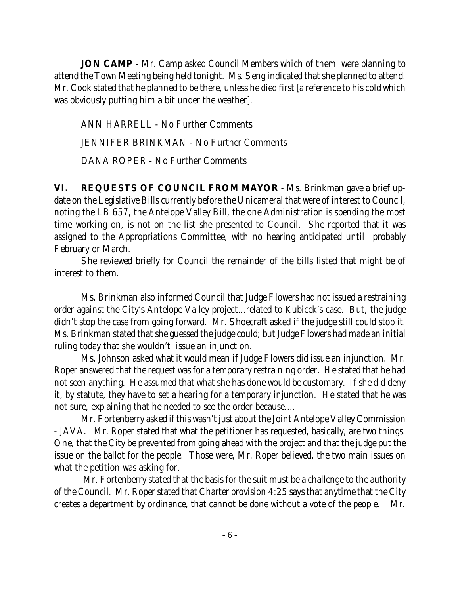**JON CAMP** - Mr. Camp asked Council Members which of them were planning to attend the Town Meeting being held tonight. Ms. Seng indicated that she planned to attend. Mr. Cook stated that he planned to be there, unless he died first [a reference to his cold which was obviously putting him a bit under the weather].

ANN HARRELL - No Further Comments JENNIFER BRINKMAN - No Further Comments DANA ROPER - No Further Comments

**VI. REQUESTS OF COUNCIL FROM MAYOR** - Ms. Brinkman gave a brief update on the Legislative Bills currently before the Unicameral that were of interest to Council, noting the LB 657, the Antelope Valley Bill, the one Administration is spending the most time working on, is not on the list she presented to Council. She reported that it was assigned to the Appropriations Committee, with no hearing anticipated until probably February or March.

She reviewed briefly for Council the remainder of the bills listed that might be of interest to them.

Ms. Brinkman also informed Council that Judge Flowers had not issued a restraining order against the City's Antelope Valley project...related to Kubicek's case. But, the judge didn't stop the case from going forward. Mr. Shoecraft asked if the judge still could stop it. Ms. Brinkman stated that she guessed the judge could; but Judge Flowers had made an initial ruling today that she wouldn't issue an injunction.

Ms. Johnson asked what it would mean if Judge Flowers did issue an injunction. Mr. Roper answered that the request was for a temporary restraining order. He stated that he had not seen anything. He assumed that what she has done would be customary. If she did deny it, by statute, they have to set a hearing for a temporary injunction. He stated that he was not sure, explaining that he needed to see the order because....

Mr. Fortenberry asked if this wasn't just about the Joint Antelope Valley Commission - JAVA. Mr. Roper stated that what the petitioner has requested, basically, are two things. One, that the City be prevented from going ahead with the project and that the judge put the issue on the ballot for the people. Those were, Mr. Roper believed, the two main issues on what the petition was asking for.

 Mr. Fortenberry stated that the basis for the suit must be a challenge to the authority of the Council. Mr. Roper stated that Charter provision 4:25 says that anytime that the City creates a department by ordinance, that cannot be done without a vote of the people. Mr.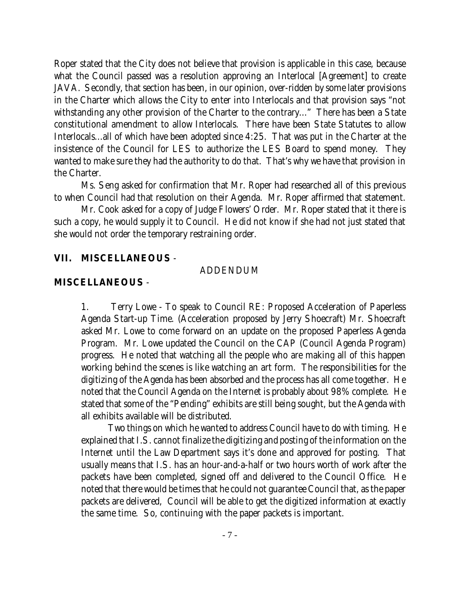Roper stated that the City does not believe that provision is applicable in this case, because what the Council passed was a resolution approving an Interlocal [Agreement] to create JAVA. Secondly, that section has been, in our opinion, over-ridden by some later provisions in the Charter which allows the City to enter into Interlocals and that provision says "not withstanding any other provision of the Charter to the contrary..." There has been a State constitutional amendment to allow Interlocals. There have been State Statutes to allow Interlocals...all of which have been adopted since 4:25. That was put in the Charter at the insistence of the Council for LES to authorize the LES Board to spend money. They wanted to make sure they had the authority to do that. That's why we have that provision in the Charter.

Ms. Seng asked for confirmation that Mr. Roper had researched all of this previous to when Council had that resolution on their Agenda. Mr. Roper affirmed that statement.

Mr. Cook asked for a copy of Judge Flowers' Order. Mr. Roper stated that it there is such a copy, he would supply it to Council. He did not know if she had not just stated that she would not order the temporary restraining order.

#### **VII. MISCELLANEOUS** -

#### ADDENDUM

## **MISCELLANEOUS** -

1. Terry Lowe - To speak to Council RE: Proposed Acceleration of Paperless Agenda Start-up Time. (Acceleration proposed by Jerry Shoecraft) Mr. Shoecraft asked Mr. Lowe to come forward on an update on the proposed Paperless Agenda Program. Mr. Lowe updated the Council on the CAP (Council Agenda Program) progress. He noted that watching all the people who are making all of this happen working behind the scenes is like watching an art form. The responsibilities for the digitizing of the Agenda has been absorbed and the process has all come together. He noted that the Council Agenda on the Internet is probably about 98% complete. He stated that some of the "Pending" exhibits are still being sought, but the Agenda with all exhibits available will be distributed.

Two things on which he wanted to address Council have to do with timing. He explained that I.S. cannot finalize the digitizing and posting of the information on the Internet until the Law Department says it's done and approved for posting. That usually means that I.S. has an hour-and-a-half or two hours worth of work after the packets have been completed, signed off and delivered to the Council Office. He noted that there would be times that he could not guarantee Council that, as the paper packets are delivered, Council will be able to get the digitized information at exactly the same time. So, continuing with the paper packets is important.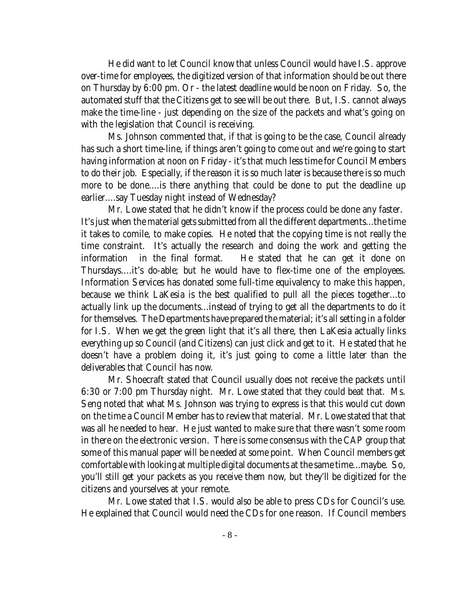He did want to let Council know that unless Council would have I.S. approve over-time for employees, the digitized version of that information should be out there on Thursday by 6:00 pm. Or - the latest deadline would be noon on Friday. So, the automated stuff that the Citizens get to see will be out there. But, I.S. cannot always make the time-line - just depending on the size of the packets and what's going on with the legislation that Council is receiving.

Ms. Johnson commented that, if that is going to be the case, Council already has such a short time-line, if things aren't going to come out and we're going to start having information at noon on Friday - it's that much less time for Council Members to do their job. Especially, if the reason it is so much later is because there is so much more to be done....is there anything that could be done to put the deadline up earlier....say Tuesday night instead of Wednesday?

Mr. Lowe stated that he didn't know if the process could be done any faster. It's just when the material gets submitted from all the different departments...the time it takes to comile, to make copies. He noted that the copying time is not really the time constraint. It's actually the research and doing the work and getting the information in the final format. He stated that he can get it done on Thursdays....it's do-able; but he would have to flex-time one of the employees. Information Services has donated some full-time equivalency to make this happen, because we think LaKesia is the best qualified to pull all the pieces together...to actually link up the documents...instead of trying to get all the departments to do it for themselves. The Departments have prepared the material; it's all setting in a folder for I.S. When we get the green light that it's all there, then LaKesia actually links everything up so Council (and Citizens) can just click and get to it. He stated that he doesn't have a problem doing it, it's just going to come a little later than the deliverables that Council has now.

Mr. Shoecraft stated that Council usually does not receive the packets until 6:30 or 7:00 pm Thursday night. Mr. Lowe stated that they could beat that. Ms. Seng noted that what Ms. Johnson was trying to express is that this would cut down on the time a Council Member has to review that material. Mr. Lowe stated that that was all he needed to hear. He just wanted to make sure that there wasn't some room in there on the electronic version. There is some consensus with the CAP group that some of this manual paper will be needed at some point. When Council members get comfortable with looking at multiple digital documents at the same time...maybe. So, you'll still get your packets as you receive them now, but they'll be digitized for the citizens and yourselves at your remote.

Mr. Lowe stated that I.S. would also be able to press CDs for Council's use. He explained that Council would need the CDs for one reason. If Council members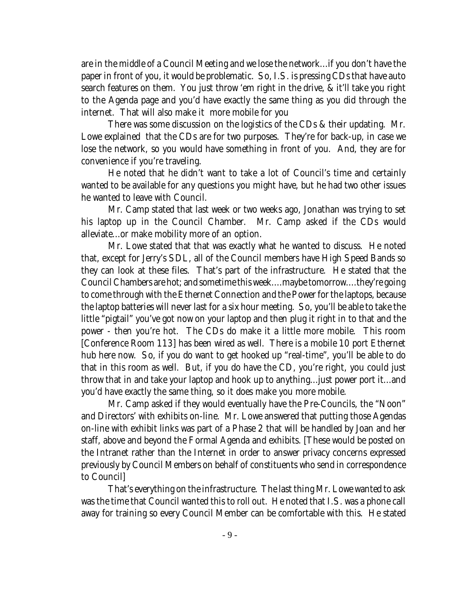are in the middle of a Council Meeting and we lose the network...if you don't have the paper in front of you, it would be problematic. So, I.S. is pressing CDs that have auto search features on them. You just throw 'em right in the drive, & it'll take you right to the Agenda page and you'd have exactly the same thing as you did through the internet. That will also make it more mobile for you

There was some discussion on the logistics of the CDs & their updating. Mr. Lowe explained that the CDs are for two purposes. They're for back-up, in case we lose the network, so you would have something in front of you. And, they are for convenience if you're traveling.

He noted that he didn't want to take a lot of Council's time and certainly wanted to be available for any questions you might have, but he had two other issues he wanted to leave with Council.

Mr. Camp stated that last week or two weeks ago, Jonathan was trying to set his laptop up in the Council Chamber. Mr. Camp asked if the CDs would alleviate...or make mobility more of an option.

Mr. Lowe stated that that was exactly what he wanted to discuss. He noted that, except for Jerry's SDL, all of the Council members have High Speed Bands so they can look at these files. That's part of the infrastructure. He stated that the Council Chambers are hot; and sometime this week....maybe tomorrow....they're going to come through with the Ethernet Connection and the Power for the laptops, because the laptop batteries will never last for a six hour meeting. So, you'll be able to take the little "pigtail" you've got now on your laptop and then plug it right in to that and the power - then you're hot. The CDs do make it a little more mobile. This room [Conference Room 113] has been wired as well. There is a mobile 10 port Ethernet hub here now. So, if you do want to get hooked up "real-time", you'll be able to do that in this room as well. But, if you do have the CD, you're right, you could just throw that in and take your laptop and hook up to anything...just power port it...and you'd have exactly the same thing, so it does make you more mobile.

Mr. Camp asked if they would eventually have the Pre-Councils, the "Noon" and Directors' with exhibits on-line. Mr. Lowe answered that putting those Agendas on-line with exhibit links was part of a Phase 2 that will be handled by Joan and her staff, above and beyond the Formal Agenda and exhibits. [These would be posted on the Intranet rather than the Internet in order to answer privacy concerns expressed previously by Council Members on behalf of constituents who send in correspondence to Council]

That's everything on the infrastructure. The last thing Mr. Lowe wanted to ask was the time that Council wanted this to roll out. He noted that I.S. was a phone call away for training so every Council Member can be comfortable with this. He stated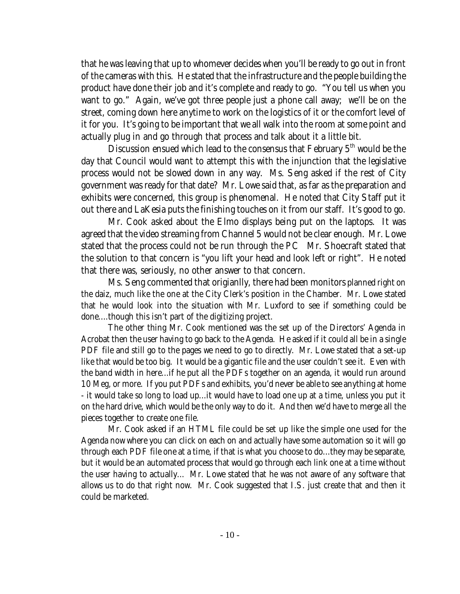that he was leaving that up to whomever decides when you'll be ready to go out in front of the cameras with this. He stated that the infrastructure and the people building the product have done their job and it's complete and ready to go. "You tell us when you want to go." Again, we've got three people just a phone call away; we'll be on the street, coming down here anytime to work on the logistics of it or the comfort level of it for you. It's going to be important that we all walk into the room at some point and actually plug in and go through that process and talk about it a little bit.

Discussion ensued which lead to the consensus that February  $5<sup>th</sup>$  would be the day that Council would want to attempt this with the injunction that the legislative process would not be slowed down in any way. Ms. Seng asked if the rest of City government was ready for that date? Mr. Lowe said that, as far as the preparation and exhibits were concerned, this group is phenomenal. He noted that City Staff put it out there and LaKesia puts the finishing touches on it from our staff. It's good to go.

Mr. Cook asked about the Elmo displays being put on the laptops. It was agreed that the video streaming from Channel 5 would not be clear enough. Mr. Lowe stated that the process could not be run through the PC Mr. Shoecraft stated that the solution to that concern is "you lift your head and look left or right". He noted that there was, seriously, no other answer to that concern.

Ms. Seng commented that origianlly, there had been monitors planned right on the daiz, much like the one at the City Clerk's position in the Chamber. Mr. Lowe stated that he would look into the situation with Mr. Luxford to see if something could be done....though this isn't part of the digitizing project.

The other thing Mr. Cook mentioned was the set up of the Directors' Agenda in Acrobat then the user having to go back to the Agenda. He asked if it could all be in a single PDF file and still go to the pages we need to go to directly. Mr. Lowe stated that a set-up like that would be too big. It would be a gigantic file and the user couldn't see it. Even with the band width in here...if he put all the PDFs together on an agenda, it would run around 10 Meg, or more. If you put PDFs and exhibits, you'd never be able to see anything at home - it would take so long to load up...it would have to load one up at a time, unless you put it on the hard drive, which would be the only way to do it. And then we'd have to merge all the pieces together to create one file.

Mr. Cook asked if an HTML file could be set up like the simple one used for the Agenda now where you can click on each on and actually have some automation so it will go through each PDF file one at a time, if that is what you choose to do...they may be separate, but it would be an automated process that would go through each link one at a time without the user having to actually... Mr. Lowe stated that he was not aware of any software that allows us to do that right now. Mr. Cook suggested that I.S. just create that and then it could be marketed.